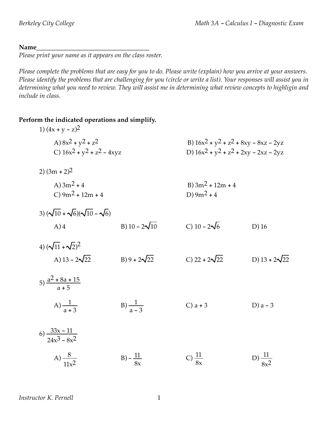#### Name

*Please print your name as it appears on the class roster.*

Please complete the problems that are easy for you to do. Please write (explain) how you arrive at your answers. Please identify the problems that are challenging for you (circle or write a list). Your responses will assist you in determining what you need to review. They will assist me in determining what review concepts to highligin and *include in class.*

#### **Perform the indicated operations and simplify.**

| 1) $(4x + y - z)^2$                                    |                      |                                                                                      |                      |
|--------------------------------------------------------|----------------------|--------------------------------------------------------------------------------------|----------------------|
| A) $8x^2 + y^2 + z^2$<br>C) $16x^2 + y^2 + z^2 - 4xyz$ |                      | B) $16x^2 + y^2 + z^2 + 8xy - 8xz - 2yz$<br>D) $16x^2 + y^2 + z^2 + 2xy - 2xz - 2yz$ |                      |
| 2) $(3m + 2)^2$                                        |                      |                                                                                      |                      |
| A) $3m^2 + 4$<br>C) $9m^2 + 12m + 4$                   |                      | B) $3m^2 + 12m + 4$<br>D) $9m^2 + 4$                                                 |                      |
| 3) $(\sqrt{10} + \sqrt{6})(\sqrt{10} - \sqrt{6})$      |                      |                                                                                      |                      |
| $A)$ 4                                                 | B) $10 - 2\sqrt{10}$ | C) $10 - 2\sqrt{6}$                                                                  | $D)$ 16              |
| 4) $(\sqrt{11} + \sqrt{2})^2$                          |                      |                                                                                      |                      |
| A) $13 - 2\sqrt{22}$                                   | B) 9 + $2\sqrt{22}$  | C) 22 + $2\sqrt{22}$                                                                 | D) $13 + 2\sqrt{22}$ |
| 5) $\frac{a^2 + 8a + 15}{a + 5}$                       |                      |                                                                                      |                      |
| A) $\frac{1}{a+3}$                                     | $B) \frac{1}{a-3}$   | $C$ ) a + 3                                                                          | D) $a - 3$           |
| 6) $\frac{33x-11}{24x^3-8x^2}$                         |                      |                                                                                      |                      |
| A) $\frac{8}{11x^2}$                                   | $B) - \frac{11}{8x}$ | C) $\frac{11}{8x}$                                                                   | D) $\frac{11}{8x^2}$ |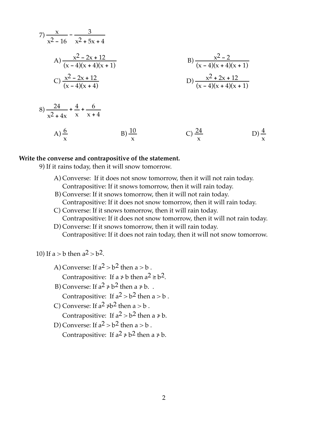7) 
$$
\frac{x}{x^2 - 16} - \frac{3}{x^2 + 5x + 4}
$$
  
\nA)  $\frac{x^2 - 2x + 12}{(x - 4)(x + 4)(x + 1)}$   
\nC)  $\frac{x^2 - 2x + 12}{(x - 4)(x + 4)}$   
\nB)  $\frac{x^2 - 2}{(x - 4)(x + 4)(x + 1)}$   
\nD)  $\frac{x^2 + 2x + 12}{(x - 4)(x + 4)(x + 1)}$   
\n8)  $\frac{24}{x^2 + 4x} + \frac{4}{x} + \frac{6}{x + 4}$   
\nA)  $\frac{6}{x}$   
\nB)  $\frac{10}{x}$   
\nC)  $\frac{24}{x}$   
\nD)  $\frac{4}{x}$ 

#### **Write the converse and contrapositive of the statement.**

9) If it rains today, then it will snow tomorrow.

- A) Converse: If it does not snow tomorrow, then it will not rain today. Contrapositive: If it snows tomorrow, then it will rain today.
- B) Converse: If it snows tomorrow, then it will not rain today. Contrapositive: If it does not snow tomorrow, then it will rain today.
- C) Converse: If it snows tomorrow, then it will rain today. Contrapositive: If it does not snow tomorrow, then it will not rain today.

x

D) Converse: If it snows tomorrow, then it will rain today. Contrapositive: If it does not rain today, then it will not snow tomorrow.

10) If  $a > b$  then  $a^2 > b^2$ .

- A) Converse: If  $a^2 > b^2$  then  $a > b$ . Contrapositive: If  $a \neq b$  then  $a^2 \geq b^2$ .
- B) Converse: If  $a^2 \neq b^2$  then  $a \neq b$ . Contrapositive: If  $a^2 > b^2$  then  $a > b$ .
- C) Converse: If  $a^2 \ne b^2$  then  $a > b$ .

Contrapositive: If  $a^2 > b^2$  then a  $\neq b$ .

D) Converse: If  $a^2 > b^2$  then  $a > b$ .

Contrapositive: If  $a^2 \nless b^2$  then  $a \nless b$ .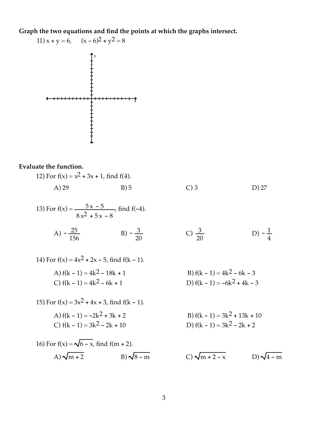**Graph the two equations and find the points at which the graphs intersect.**

11) 
$$
x + y = 6
$$
,  $(x - 6)^2 + y^2 = 8$ 

# **Evaluate the function.**

12) For 
$$
f(x) = x^2 + 3x + 1
$$
, find  $f(4)$ .  
A) 29  
B) 5  
C) 3  
D) 27

13) For 
$$
f(x) = \frac{5x - 5}{8x^2 + 5x - 8}
$$
, find  $f(-4)$ .

A) 
$$
-\frac{25}{156}
$$
 \t\t B)  $-\frac{3}{20}$  \t\t C)  $\frac{3}{20}$  \t\t D)  $-\frac{1}{4}$ 

14) For 
$$
f(x) = 4x^2 + 2x - 5
$$
, find  $f(k - 1)$ .  
\nA)  $f(k - 1) = 4k^2 - 18k + 1$   
\nB)  $f(k - 1) = 4k^2 - 6k - 3$   
\nC)  $f(k - 1) = 4k^2 - 6k + 1$   
\nD)  $f(k - 1) = -6k^2 + 4k - 3$ 

15) For 
$$
f(x) = 3x^2 + 4x + 3
$$
, find  $f(k - 1)$ .  
\nA)  $f(k - 1) = -2k^2 + 3k + 2$   
\nB)  $f(k - 1) = 3k^2 + 13k + 10$   
\nC)  $f(k - 1) = 3k^2 - 2k + 10$   
\nD)  $f(k - 1) = 3k^2 - 2k + 2$ 

16) For f(x) = 
$$
\sqrt{6} - x
$$
, find f(m + 2).  
A)  $\sqrt{m+2}$  B)  $\sqrt{8-m}$  C)  $\sqrt{m+2-x}$  D)  $\sqrt{4-m}$ 

B) 
$$
f(k - 1) = 3k^2 + 13k + 10
$$
  
D)  $f(k - 1) = 3k^2 - 2k + 2$ 

$$
C) \sqrt{m+2-x} \qquad D) \sqrt{4-m}
$$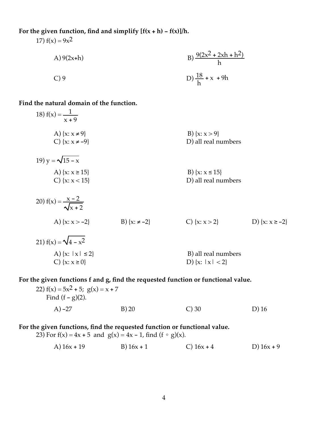#### For the given function, find and simplify  $[f(x+h) - f(x)]/h$ .

17)  $f(x) = 9x^2$ 

A) 9(2x+h)  
B) 
$$
\frac{9(2x^2 + 2xh + h^2)}{h}
$$
  
C) 9  
D)  $\frac{18}{h} + x + 9h$ 

#### **Find the natural domain of the function.**

18) 
$$
f(x) = \frac{1}{x+9}
$$
  
\nA)  $\{x: x \ne 9\}$   
\nC)  $\{x: x \ne -9\}$   
\nD) all real numbers  
\n19)  $y = \sqrt{15-x}$   
\nA)  $\{x: x \ge 15\}$   
\nB)  $\{x: x > 9\}$   
\nD) all real numbers  
\n20)  $f(x) = \frac{x-2}{\sqrt{x+2}}$   
\nA)  $\{x: x > 15\}$   
\nB)  $\{x: x \le 15\}$   
\nD) all real numbers  
\n21)  $f(x) = \sqrt{4-x^2}$   
\nB)  $\{x: x-2\}$   
\nC)  $\{x: x > 2\}$   
\nD)  $\{x: x \ge -2\}$ 

A) { $x: |x| \le 2$ }<br>
B) all real numbers<br>
C) { $x: x \ge 0$ }<br>
D) { $x: |x| < 2$ } D) { $x: |x| < 2$ }

# **For the given functions f and g, find the requested function or functional value.**

| 22) $f(x) = 5x^2 + 5$ ; $g(x) = x + 7$<br>Find $(f - g)(2)$ . |      |          |         |
|---------------------------------------------------------------|------|----------|---------|
| $(A) -27$                                                     | B)20 | $C$ ) 30 | $D)$ 16 |

### **For the given functions, find the requested function or functional value.**

23) For  $f(x) = 4x + 5$  and  $g(x) = 4x - 1$ , find  $(f \circ g)(x)$ .

A) 
$$
16x + 19
$$
 B)  $16x + 1$  C)  $16x + 4$  D)  $16x + 9$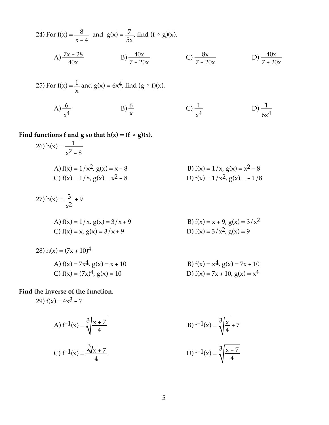24) For f(x) = 
$$
\frac{8}{x-4}
$$
 and g(x) =  $\frac{7}{5x}$ , find (f  $\circ$  g)(x).  
\nA)  $\frac{7x-28}{40x}$  \tB)  $\frac{40x}{7-20x}$  \tC)  $\frac{8x}{7-20x}$  \tD)  $\frac{40x}{7+20x}$   
\n25) For f(x) =  $\frac{1}{x}$  and g(x) = 6x<sup>4</sup>, find (g  $\circ$  f)(x).

A)  $\frac{6}{x^4}$  $\frac{6}{x^4}$  B)  $\frac{6}{x}$ C)  $\frac{1}{x^4}$  $\frac{1}{x^4}$  D)  $\frac{1}{6x^4}$ 

Find functions **f** and **g** so that  $h(x) = (f \circ g)(x)$ .

26) 
$$
h(x) = \frac{1}{x^2 - 8}
$$
  
\nA)  $f(x) = 1/x^2$ ,  $g(x) = x - 8$   
\nB)  $f(x) = 1/x$ ,  $g(x) = x^2 - 8$   
\nC)  $f(x) = 1/8$ ,  $g(x) = x^2 - 8$   
\nD)  $f(x) = 1/x^2$ ,  $g(x) = -1/8$ 

B)  $f(x) = x + 9$ ,  $g(x) = 3/x<sup>2</sup>$ 

D)  $f(x) = 3/x^2$ ,  $g(x) = 9$ 

27) 
$$
h(x) = \frac{3}{x^2} + 9
$$
  
A)  $f(x) = 1/x, g(x) = 3/x + 9$   
C)  $f(x) = x, g(x) = 3/x + 9$ 

28) 
$$
h(x) = (7x + 10)^4
$$
  
\nA)  $f(x) = 7x^4$ ,  $g(x) = x + 10$   
\nC)  $f(x) = (7x)^4$ ,  $g(x) = 10$   
\nB)  $f(x) = x^4$ ,  $g(x) = 7x + 10$   
\nD)  $f(x) = 7x + 10$ ,  $g(x) = x^4$ 

**Find the inverse of the function.**

29)  $f(x) = 4x^3 - 7$ 

A) 
$$
f^{-1}(x) = \sqrt[3]{\frac{x+7}{4}}
$$
  
B)  $f^{-1}(x) = \sqrt[3]{\frac{x}{4}} + 7$   
C)  $f^{-1}(x) = \frac{3\sqrt{x} + 7}{4}$   
D)  $f^{-1}(x) = \sqrt[3]{\frac{x-7}{4}}$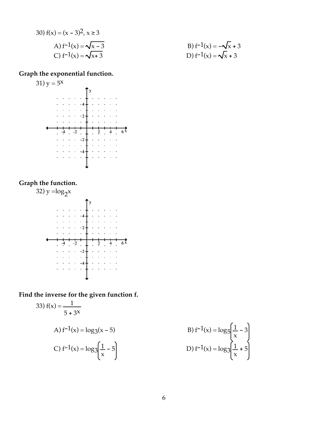30) 
$$
f(x) = (x - 3)^2, x \ge 3
$$
  
\nA)  $f^{-1}(x) = \sqrt{x - 3}$   
\nB)  $f^{-1}(x) = -\sqrt{x} + 3$   
\nC)  $f^{-1}(x) = \sqrt{x + 3}$   
\nD)  $f^{-1}(x) = \sqrt{x} + 3$ 

# **Graph the exponential function.**



# **Graph the function.**



**Find the inverse for the given function f.**

33) 
$$
f(x) = \frac{1}{5 + 3x}
$$
  
\nA)  $f^{-1}(x) = \log_3(x - 5)$   
\nB)  $f^{-1}(x) = \log_5 \left(\frac{1}{x}\right)$   
\nC)  $f^{-1}(x) = \log_3 \left(\frac{1}{x} - 5\right)$   
\nD)  $f^{-1}(x) = \log_3 \left(\frac{1}{x}\right)$ 

- 5)  
\nB) 
$$
f^{-1}(x) = \log_5 \left( \frac{1}{x} - 3 \right)
$$
  
\nD)  $f^{-1}(x) = \log_3 \left( \frac{1}{x} + 5 \right)$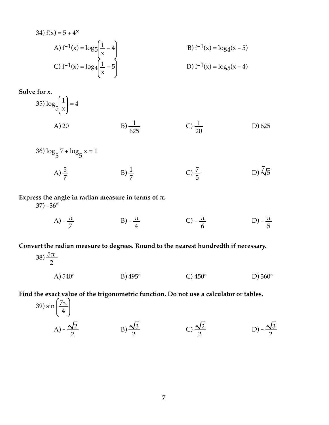34) 
$$
f(x) = 5 + 4^{x}
$$
  
\nA)  $f^{-1}(x) = \log_5 \left( \frac{1}{x} - 4 \right)$   
\nB)  $f^{-1}(x) = \log_4(x - 5)$   
\nC)  $f^{-1}(x) = \log_4 \left( \frac{1}{x} - 5 \right)$   
\nD)  $f^{-1}(x) = \log_5(x - 4)$ 

**Solve for x.**

35) 
$$
\log_{5}\left(\frac{1}{x}\right) = 4
$$
  
A) 20  
B)  $\frac{1}{625}$   
C)  $\frac{1}{20}$   
D) 625

36)  $\log_5 7 + \log_5 x = 1$ A)  $\frac{5}{7}$  B)  $\frac{1}{7}$ C)  $\frac{7}{5}$  $D) \sqrt[7]{5}$ 

# Express the angle in radian measure in terms of  $\pi$ .

 $37) - 36^{\circ}$ 

A)  $-\frac{\pi}{7}$  B)  $-\frac{\pi}{4}$  C)  $-\frac{\pi}{6}$  $\frac{\pi}{6}$  D) –  $\frac{\pi}{5}$ 

**Convert the radian measure to degrees. Round to the nearest hundredth if necessary.**

38) 
$$
\frac{5\pi}{2}
$$
  
\nA) 540°  
\nB) 495°  
\nC) 450°  
\nD) 360°

**Find the exact value of the trigonometric function. Do not use a calculator or tables.**

39) 
$$
\sin\left(\frac{7\pi}{4}\right)
$$
  
\nA)  $-\frac{\sqrt{2}}{2}$  \nB)  $\frac{\sqrt{3}}{2}$  \nC)  $\frac{\sqrt{2}}{2}$  \nD)  $-\frac{\sqrt{3}}{2}$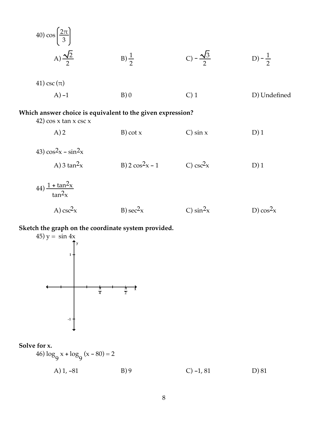| 40) $\cos\left(\frac{2\pi}{3}\right)$                                                    |                           |                           |                    |
|------------------------------------------------------------------------------------------|---------------------------|---------------------------|--------------------|
| A) $\frac{\sqrt{2}}{2}$                                                                  | $B)\frac{1}{2}$           | C) – $\frac{\sqrt{3}}{2}$ | D) – $\frac{1}{2}$ |
| 41) csc $(\pi)$                                                                          |                           |                           |                    |
| $(A) -1$                                                                                 | B)0                       | $C$ ) 1                   | D) Undefined       |
| Which answer choice is equivalent to the given expression?<br>42) $\cos x \tan x \csc x$ |                           |                           |                    |
| A)2                                                                                      | $B)$ cot $x$              | $C$ ) sin x               | D)1                |
| 43) $\cos^2 x - \sin^2 x$                                                                |                           |                           |                    |
| A) 3 tan <sup>2</sup> x                                                                  | B) $2 \cos^2 x - 1$       | C) $csc2x$                | D)1                |
| $(44)\frac{1+\tan^2x}{\tan^2x}$                                                          |                           |                           |                    |
| A) $csc2x$                                                                               | $B)$ sec <sup>2</sup> $x$ | C) $\sin^2 x$             | D) $\cos^2 x$      |

**Sketch the graph on the coordinate system provided.**



# **Solve for x.**

 $46) \log_9 x + \log_9 (x - 80) = 2$ A) 1, -81 B) 9 C) -1, 81 D) 81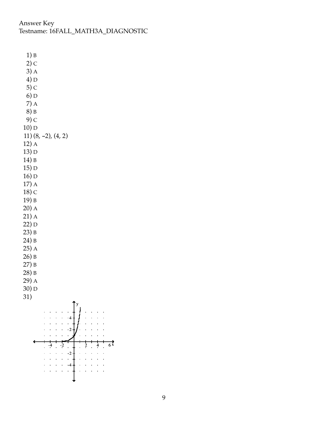Answer Key Testname: 16FALL\_MATH3A\_DIAGNOSTIC

 $1) B$  $2)$  C  $3)$  A  $4) D$  $5)$  C  $6) D$  $7)$  A 8) B  $9)$  C  $10$ ) D 11)  $(8, -2)$ ,  $(4, 2)$  $12)$  A 13) D  $14$ ) B  $15) D$  $16)D$  $17)$  A  $18)$  C 19) B  $20)$  A  $21)$  A  $22)D$  $23) B$ 24) B  $25)$  A  $26$ ) B  $27) B$  $28$ ) B  $29)$  A  $30)D$ 31)  $\cdot$  2  $\overrightarrow{6}$  $\frac{4}{2}$   $\frac{1}{2}$  $\ddot{?}$  $\frac{4}{1}$  $\cdot$  $\mathcal{L}_{\mathbf{r}}$ L.  $\bar{1}$  $\ddot{\phantom{a}}$  $\mathcal{A}$  $\bar{a}$  $\mathbb{Z}^2$  $\sim 10^{11}$  km  $^{-1}$  $\mathcal{L}=\mathcal{L}=\mathcal{L}$ l.  $\bar{a}$  $\mathbf{r}$  $\mathcal{L}^{\text{c}}$  ,  $\mathcal{L}^{\text{c}}$  ,  $\mathcal{L}^{\text{c}}$ l,  $\ddot{\phantom{a}}$ l.  $-4$  $\ddot{\phantom{a}}$  $\ddot{\phantom{a}}$  $\mathbf{r}$